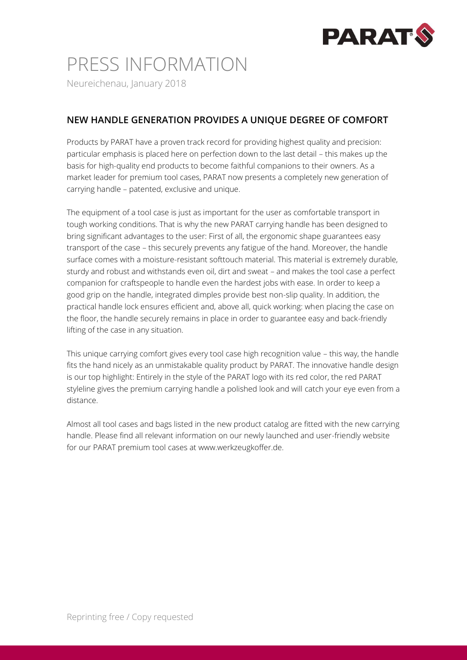

## PRESS INFORMATION

Neureichenau, January 2018

### **NEW HANDLE GENERATION PROVIDES A UNIQUE DEGREE OF COMFORT**

Products by PARAT have a proven track record for providing highest quality and precision: particular emphasis is placed here on perfection down to the last detail – this makes up the basis for high-quality end products to become faithful companions to their owners. As a market leader for premium tool cases, PARAT now presents a completely new generation of carrying handle – patented, exclusive and unique.

The equipment of a tool case is just as important for the user as comfortable transport in tough working conditions. That is why the new PARAT carrying handle has been designed to bring significant advantages to the user: First of all, the ergonomic shape guarantees easy transport of the case – this securely prevents any fatigue of the hand. Moreover, the handle surface comes with a moisture-resistant softtouch material. This material is extremely durable, sturdy and robust and withstands even oil, dirt and sweat – and makes the tool case a perfect companion for craftspeople to handle even the hardest jobs with ease. In order to keep a good grip on the handle, integrated dimples provide best non-slip quality. In addition, the practical handle lock ensures efficient and, above all, quick working: when placing the case on the floor, the handle securely remains in place in order to guarantee easy and back-friendly lifting of the case in any situation.

This unique carrying comfort gives every tool case high recognition value – this way, the handle fits the hand nicely as an unmistakable quality product by PARAT. The innovative handle design is our top highlight: Entirely in the style of the PARAT logo with its red color, the red PARAT styleline gives the premium carrying handle a polished look and will catch your eye even from a distance.

Almost all tool cases and bags listed in the new product catalog are fitted with the new carrying handle. Please find all relevant information on our newly launched and user-friendly website for our PARAT premium tool cases at www.werkzeugkoffer.de.